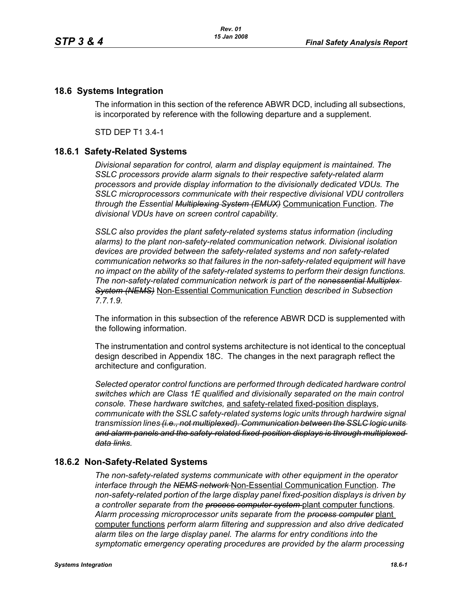## **18.6 Systems Integration**

The information in this section of the reference ABWR DCD, including all subsections, is incorporated by reference with the following departure and a supplement.

STD DEP T1 3.4-1

## **18.6.1 Safety-Related Systems**

*Divisional separation for control, alarm and display equipment is maintained. The SSLC processors provide alarm signals to their respective safety-related alarm processors and provide display information to the divisionally dedicated VDUs. The SSLC microprocessors communicate with their respective divisional VDU controllers through the Essential Multiplexing System (EMUX)* Communication Function. *The divisional VDUs have on screen control capability.*

*SSLC also provides the plant safety-related systems status information (including alarms) to the plant non-safety-related communication network. Divisional isolation devices are provided between the safety-related systems and non safety-related communication networks so that failures in the non-safety-related equipment will have no impact on the ability of the safety-related systems to perform their design functions. The non-safety-related communication network is part of the nonessential Multiplex System (NEMS)* Non-Essential Communication Function *described in Subsection 7.7.1.9.*

The information in this subsection of the reference ABWR DCD is supplemented with the following information.

The instrumentation and control systems architecture is not identical to the conceptual design described in Appendix 18C. The changes in the next paragraph reflect the architecture and configuration.

*Selected operator control functions are performed through dedicated hardware control switches which are Class 1E qualified and divisionally separated on the main control console. These hardware switches,* and safety-related fixed-position displays, *communicate with the SSLC safety-related systems logic units through hardwire signal transmission lines (i.e., not multiplexed). Communication between the SSLC logic units and alarm panels and the safety-related fixed-position displays is through multiplexed data links.*

## **18.6.2 Non-Safety-Related Systems**

*The non-safety-related systems communicate with other equipment in the operator interface through the NEMS network* Non-Essential Communication Function. *The non-safety-related portion of the large display panel fixed-position displays is driven by a controller separate from the process computer system* plant computer functions. *Alarm processing microprocessor units separate from the process computer* plant computer functions *perform alarm filtering and suppression and also drive dedicated alarm tiles on the large display panel. The alarms for entry conditions into the symptomatic emergency operating procedures are provided by the alarm processing*